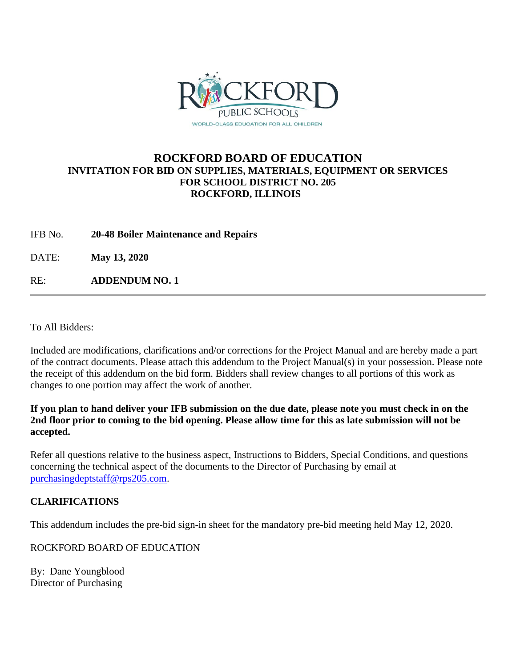

## **ROCKFORD BOARD OF EDUCATION INVITATION FOR BID ON SUPPLIES, MATERIALS, EQUIPMENT OR SERVICES FOR SCHOOL DISTRICT NO. 205 ROCKFORD, ILLINOIS**

IFB No. **20-48 Boiler Maintenance and Repairs**

DATE: **May 13, 2020**

RE: **ADDENDUM NO. 1**

To All Bidders:

Included are modifications, clarifications and/or corrections for the Project Manual and are hereby made a part of the contract documents. Please attach this addendum to the Project Manual(s) in your possession. Please note the receipt of this addendum on the bid form. Bidders shall review changes to all portions of this work as changes to one portion may affect the work of another.

**If you plan to hand deliver your IFB submission on the due date, please note you must check in on the 2nd floor prior to coming to the bid opening. Please allow time for this as late submission will not be accepted.**

Refer all questions relative to the business aspect, Instructions to Bidders, Special Conditions, and questions concerning the technical aspect of the documents to the Director of Purchasing by email at [purchasingdeptstaff@rps205.com.](mailto:purchasingdeptstaff@rps205.com)

## **CLARIFICATIONS**

This addendum includes the pre-bid sign-in sheet for the mandatory pre-bid meeting held May 12, 2020.

ROCKFORD BOARD OF EDUCATION

By: Dane Youngblood Director of Purchasing